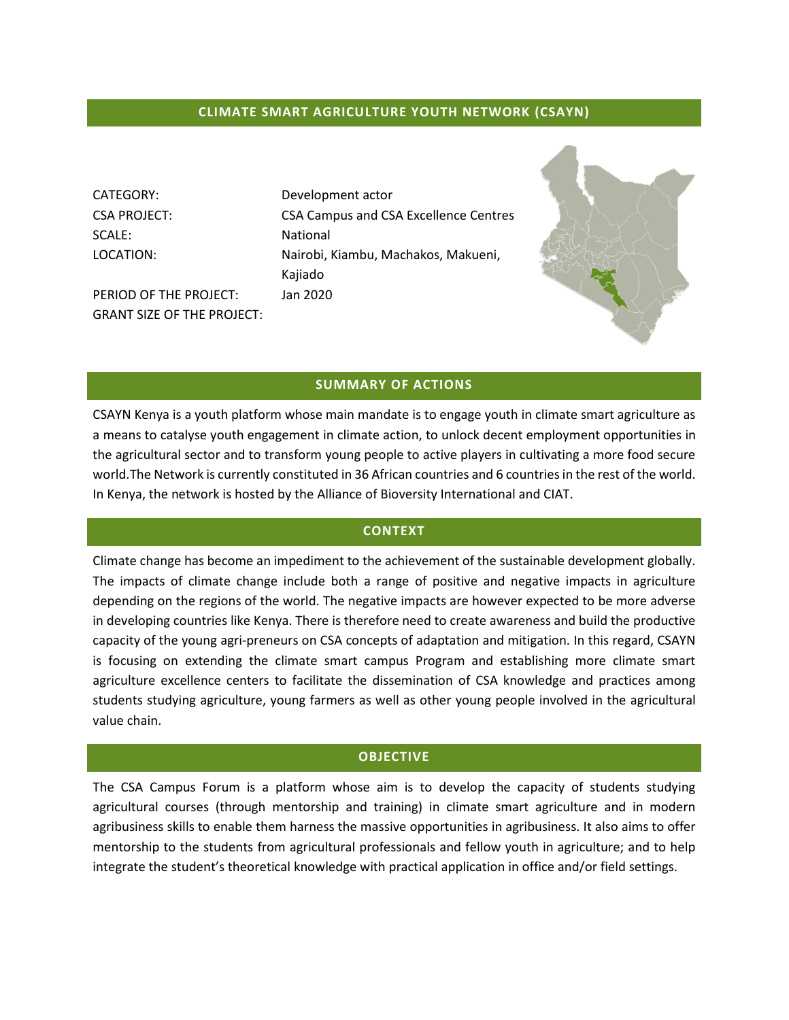### **CLIMATE SMART AGRICULTURE YOUTH NETWORK (CSAYN)**

SCALE: National

PERIOD OF THE PROJECT: Jan 2020 GRANT SIZE OF THE PROJECT:

CATEGORY: Development actor CSA PROJECT: CSA Campus and CSA Excellence Centres LOCATION: Nairobi, Kiambu, Machakos, Makueni, Kajiado



### **SUMMARY OF ACTIONS**

CSAYN Kenya is a youth platform whose main mandate is to engage youth in climate smart agriculture as a means to catalyse youth engagement in climate action, to unlock decent employment opportunities in the agricultural sector and to transform young people to active players in cultivating a more food secure world.The Network is currently constituted in 36 African countries and 6 countries in the rest of the world. In Kenya, the network is hosted by the Alliance of Bioversity International and CIAT.

### **CONTEXT**

Climate change has become an impediment to the achievement of the sustainable development globally. The impacts of climate change include both a range of positive and negative impacts in agriculture depending on the regions of the world. The negative impacts are however expected to be more adverse in developing countries like Kenya. There is therefore need to create awareness and build the productive capacity of the young agri-preneurs on CSA concepts of adaptation and mitigation. In this regard, CSAYN is focusing on extending the climate smart campus Program and establishing more climate smart agriculture excellence centers to facilitate the dissemination of CSA knowledge and practices among students studying agriculture, young farmers as well as other young people involved in the agricultural value chain.

### **OBJECTIVE**

The CSA Campus Forum is a platform whose aim is to develop the capacity of students studying agricultural courses (through mentorship and training) in climate smart agriculture and in modern agribusiness skills to enable them harness the massive opportunities in agribusiness. It also aims to offer mentorship to the students from agricultural professionals and fellow youth in agriculture; and to help integrate the student's theoretical knowledge with practical application in office and/or field settings.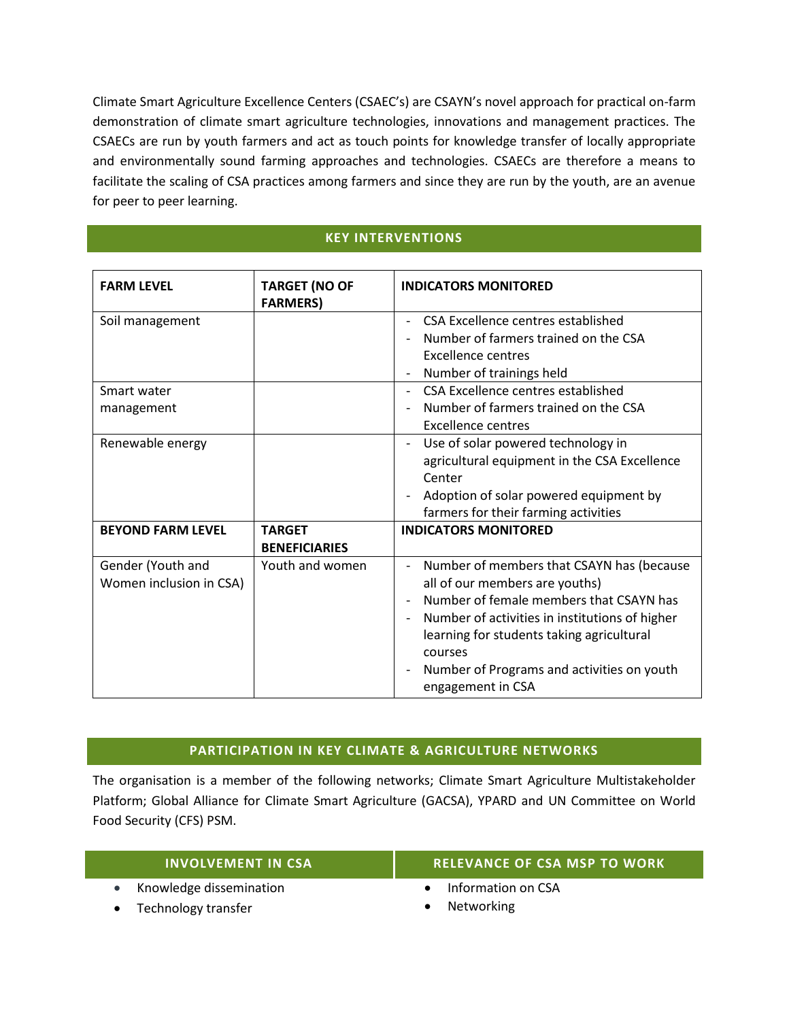Climate Smart Agriculture Excellence Centers (CSAEC's) are CSAYN's novel approach for practical on-farm demonstration of climate smart agriculture technologies, innovations and management practices. The CSAECs are run by youth farmers and act as touch points for knowledge transfer of locally appropriate and environmentally sound farming approaches and technologies. CSAECs are therefore a means to facilitate the scaling of CSA practices among farmers and since they are run by the youth, are an avenue for peer to peer learning.

# **KEY INTERVENTIONS**

| <b>FARM LEVEL</b>                            | <b>TARGET (NO OF</b><br><b>FARMERS)</b> | <b>INDICATORS MONITORED</b>                                                                                                                                                                                                                                                                         |
|----------------------------------------------|-----------------------------------------|-----------------------------------------------------------------------------------------------------------------------------------------------------------------------------------------------------------------------------------------------------------------------------------------------------|
| Soil management                              |                                         | CSA Excellence centres established<br>Number of farmers trained on the CSA<br>Excellence centres<br>Number of trainings held                                                                                                                                                                        |
| Smart water<br>management                    |                                         | <b>CSA Excellence centres established</b><br>Number of farmers trained on the CSA<br><b>Excellence centres</b>                                                                                                                                                                                      |
| Renewable energy                             |                                         | Use of solar powered technology in<br>$\overline{\phantom{a}}$<br>agricultural equipment in the CSA Excellence<br>Center<br>Adoption of solar powered equipment by<br>farmers for their farming activities                                                                                          |
| <b>BEYOND FARM LEVEL</b>                     | <b>TARGET</b><br><b>BENEFICIARIES</b>   | <b>INDICATORS MONITORED</b>                                                                                                                                                                                                                                                                         |
| Gender (Youth and<br>Women inclusion in CSA) | Youth and women                         | Number of members that CSAYN has (because<br>all of our members are youths)<br>Number of female members that CSAYN has<br>Number of activities in institutions of higher<br>learning for students taking agricultural<br>courses<br>Number of Programs and activities on youth<br>engagement in CSA |

## **PARTICIPATION IN KEY CLIMATE & AGRICULTURE NETWORKS**

The organisation is a member of the following networks; Climate Smart Agriculture Multistakeholder Platform; Global Alliance for Climate Smart Agriculture (GACSA), YPARD and UN Committee on World Food Security (CFS) PSM.

- Knowledge dissemination
- Technology transfer

## **INVOLVEMENT IN CSA RELEVANCE OF CSA MSP TO WORK**

- Information on CSA
- Networking